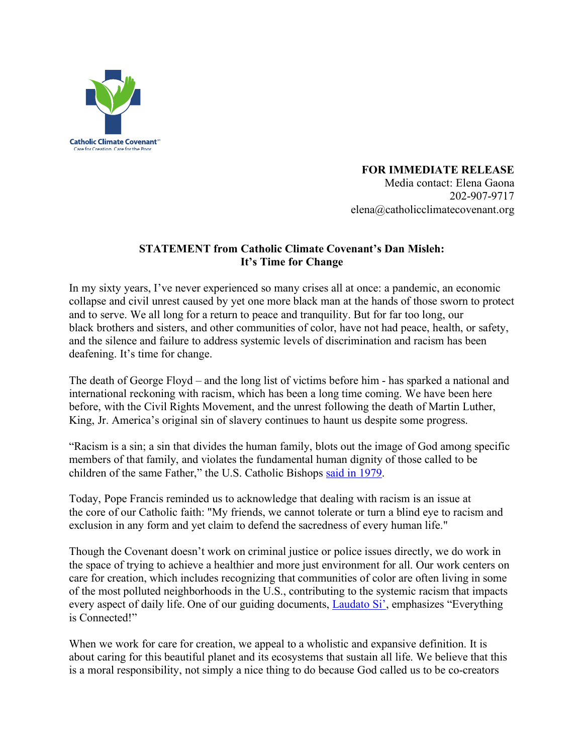

**FOR IMMEDIATE RELEASE**

Media contact: Elena Gaona 202-907-9717 elena@catholicclimatecovenant.org

## **STATEMENT from Catholic Climate Covenant's Dan Misleh: It's Time for Change**

In my sixty years, I've never experienced so many crises all at once: a pandemic, an economic collapse and civil unrest caused by yet one more black man at the hands of those sworn to protect and to serve. We all long for a return to peace and tranquility. But for far too long, our black brothers and sisters, and other communities of color, have not had peace, health, or safety, and the silence and failure to address systemic levels of discrimination and racism has been deafening. It's time for change.

The death of George Floyd – and the long list of victims before him - has sparked a national and international reckoning with racism, which has been a long time coming. We have been here before, with the Civil Rights Movement, and the unrest following the death of Martin Luther, King, Jr. America's original sin of slavery continues to haunt us despite some progress.

"Racism is a sin; a sin that divides the human family, blots out the image of God among specific members of that family, and violates the fundamental human dignity of those called to be children of the same Father," the U.S. Catholic Bishops said in 1979.

Today, Pope Francis reminded us to acknowledge that dealing with racism is an issue at the core of our Catholic faith: "My friends, we cannot tolerate or turn a blind eye to racism and exclusion in any form and yet claim to defend the sacredness of every human life."

Though the Covenant doesn't work on criminal justice or police issues directly, we do work in the space of trying to achieve a healthier and more just environment for all. Our work centers on care for creation, which includes recognizing that communities of color are often living in some of the most polluted neighborhoods in the U.S., contributing to the systemic racism that impacts every aspect of daily life. One of our guiding documents, Laudato Si', emphasizes "Everything is Connected!"

When we work for care for creation, we appeal to a wholistic and expansive definition. It is about caring for this beautiful planet and its ecosystems that sustain all life. We believe that this is a moral responsibility, not simply a nice thing to do because God called us to be co-creators